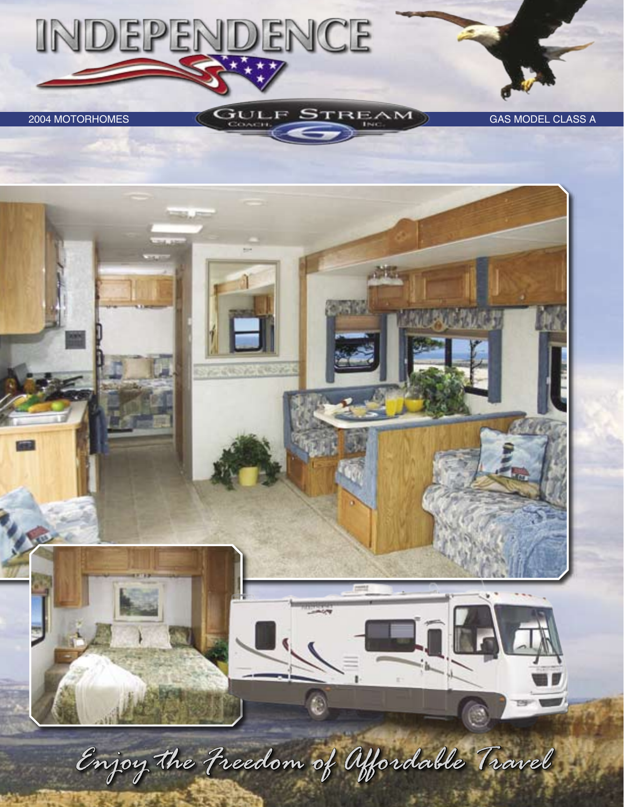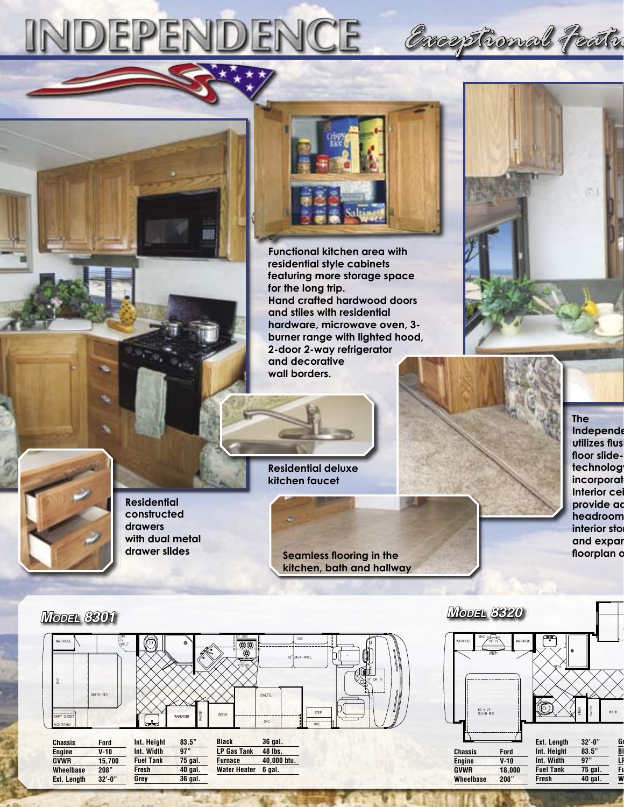

**Functional kitchen area with residential style cabinets featuring more storage space for the long trip. Hand crafted hardwood doors and stiles with residential hardware, microwave oven, 3 burner range with lighted hood, 2-door 2-way refrigerator and decorative wall borders.**



*Exceptional Features and Value*



**Residential constructed drawers with dual metal drawer slides**

**Residential deluxe kitchen faucet**

> **Seamless flooring in the the seamless floorplan options. kitchen, bath and hallway**

**The Independe utilizes flush**  floor slide**technolog** incorporat **Interior cei** provide ad headroom **interior** sto and expar